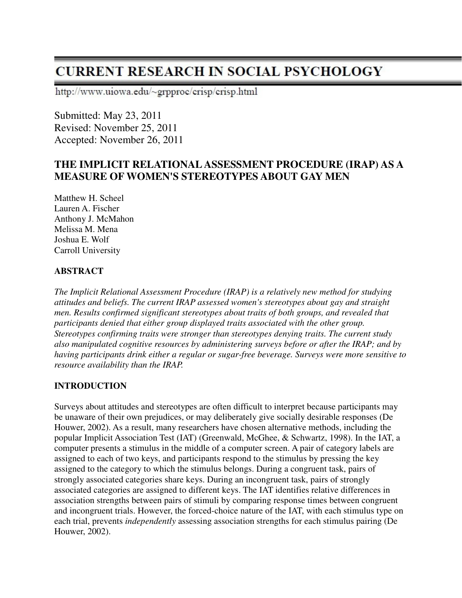http://www.uiowa.edu/~grpproc/crisp/crisp.html

Submitted: May 23, 2011 Revised: November 25, 2011 Accepted: November 26, 2011

### **THE IMPLICIT RELATIONAL ASSESSMENT PROCEDURE (IRAP) AS A MEASURE OF WOMEN'S STEREOTYPES ABOUT GAY MEN**

Matthew H. Scheel Lauren A. Fischer Anthony J. McMahon Melissa M. Mena Joshua E. Wolf Carroll University

### **ABSTRACT**

*The Implicit Relational Assessment Procedure (IRAP) is a relatively new method for studying attitudes and beliefs. The current IRAP assessed women's stereotypes about gay and straight men. Results confirmed significant stereotypes about traits of both groups, and revealed that participants denied that either group displayed traits associated with the other group. Stereotypes confirming traits were stronger than stereotypes denying traits. The current study also manipulated cognitive resources by administering surveys before or after the IRAP; and by having participants drink either a regular or sugar-free beverage. Surveys were more sensitive to resource availability than the IRAP.* 

### **INTRODUCTION**

Surveys about attitudes and stereotypes are often difficult to interpret because participants may be unaware of their own prejudices, or may deliberately give socially desirable responses (De Houwer, 2002). As a result, many researchers have chosen alternative methods, including the popular Implicit Association Test (IAT) (Greenwald, McGhee, & Schwartz, 1998). In the IAT, a computer presents a stimulus in the middle of a computer screen. A pair of category labels are assigned to each of two keys, and participants respond to the stimulus by pressing the key assigned to the category to which the stimulus belongs. During a congruent task, pairs of strongly associated categories share keys. During an incongruent task, pairs of strongly associated categories are assigned to different keys. The IAT identifies relative differences in association strengths between pairs of stimuli by comparing response times between congruent and incongruent trials. However, the forced-choice nature of the IAT, with each stimulus type on each trial, prevents *independently* assessing association strengths for each stimulus pairing (De Houwer, 2002).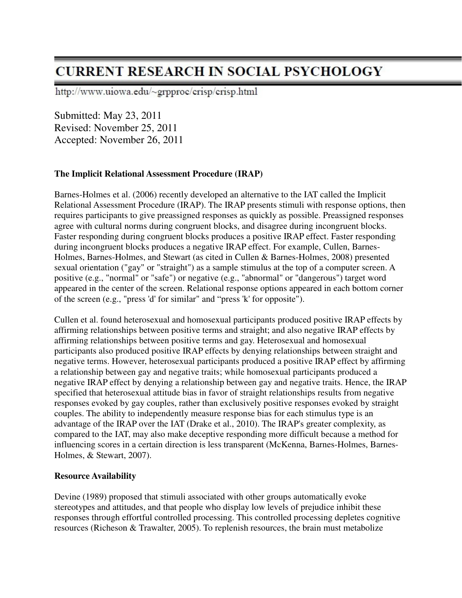http://www.uiowa.edu/~grpproc/crisp/crisp.html

Submitted: May 23, 2011 Revised: November 25, 2011 Accepted: November 26, 2011

### **The Implicit Relational Assessment Procedure (IRAP)**

Barnes-Holmes et al. (2006) recently developed an alternative to the IAT called the Implicit Relational Assessment Procedure (IRAP). The IRAP presents stimuli with response options, then requires participants to give preassigned responses as quickly as possible. Preassigned responses agree with cultural norms during congruent blocks, and disagree during incongruent blocks. Faster responding during congruent blocks produces a positive IRAP effect. Faster responding during incongruent blocks produces a negative IRAP effect. For example, Cullen, Barnes-Holmes, Barnes-Holmes, and Stewart (as cited in Cullen & Barnes-Holmes, 2008) presented sexual orientation ("gay" or "straight") as a sample stimulus at the top of a computer screen. A positive (e.g., "normal" or "safe") or negative (e.g., "abnormal" or "dangerous") target word appeared in the center of the screen. Relational response options appeared in each bottom corner of the screen (e.g., "press 'd' for similar" and "press 'k' for opposite").

Cullen et al. found heterosexual and homosexual participants produced positive IRAP effects by affirming relationships between positive terms and straight; and also negative IRAP effects by affirming relationships between positive terms and gay. Heterosexual and homosexual participants also produced positive IRAP effects by denying relationships between straight and negative terms. However, heterosexual participants produced a positive IRAP effect by affirming a relationship between gay and negative traits; while homosexual participants produced a negative IRAP effect by denying a relationship between gay and negative traits. Hence, the IRAP specified that heterosexual attitude bias in favor of straight relationships results from negative responses evoked by gay couples, rather than exclusively positive responses evoked by straight couples. The ability to independently measure response bias for each stimulus type is an advantage of the IRAP over the IAT (Drake et al., 2010). The IRAP's greater complexity, as compared to the IAT, may also make deceptive responding more difficult because a method for influencing scores in a certain direction is less transparent (McKenna, Barnes-Holmes, Barnes-Holmes, & Stewart, 2007).

#### **Resource Availability**

Devine (1989) proposed that stimuli associated with other groups automatically evoke stereotypes and attitudes, and that people who display low levels of prejudice inhibit these responses through effortful controlled processing. This controlled processing depletes cognitive resources (Richeson & Trawalter, 2005). To replenish resources, the brain must metabolize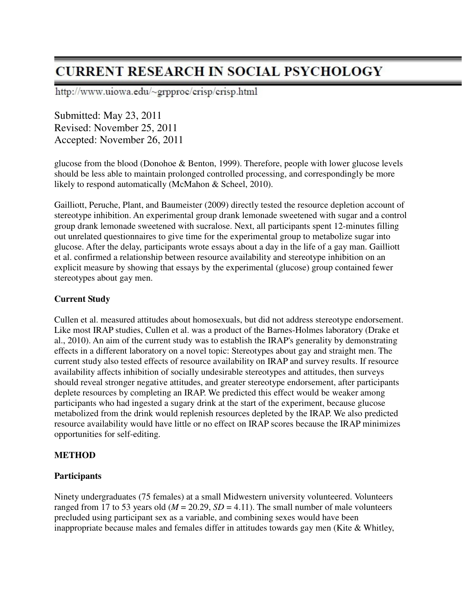http://www.uiowa.edu/~grpproc/crisp/crisp.html

Submitted: May 23, 2011 Revised: November 25, 2011 Accepted: November 26, 2011

glucose from the blood (Donohoe & Benton, 1999). Therefore, people with lower glucose levels should be less able to maintain prolonged controlled processing, and correspondingly be more likely to respond automatically (McMahon & Scheel, 2010).

Gailliott, Peruche, Plant, and Baumeister (2009) directly tested the resource depletion account of stereotype inhibition. An experimental group drank lemonade sweetened with sugar and a control group drank lemonade sweetened with sucralose. Next, all participants spent 12-minutes filling out unrelated questionnaires to give time for the experimental group to metabolize sugar into glucose. After the delay, participants wrote essays about a day in the life of a gay man. Gailliott et al. confirmed a relationship between resource availability and stereotype inhibition on an explicit measure by showing that essays by the experimental (glucose) group contained fewer stereotypes about gay men.

### **Current Study**

Cullen et al. measured attitudes about homosexuals, but did not address stereotype endorsement. Like most IRAP studies, Cullen et al. was a product of the Barnes-Holmes laboratory (Drake et al., 2010). An aim of the current study was to establish the IRAP's generality by demonstrating effects in a different laboratory on a novel topic: Stereotypes about gay and straight men. The current study also tested effects of resource availability on IRAP and survey results. If resource availability affects inhibition of socially undesirable stereotypes and attitudes, then surveys should reveal stronger negative attitudes, and greater stereotype endorsement, after participants deplete resources by completing an IRAP. We predicted this effect would be weaker among participants who had ingested a sugary drink at the start of the experiment, because glucose metabolized from the drink would replenish resources depleted by the IRAP. We also predicted resource availability would have little or no effect on IRAP scores because the IRAP minimizes opportunities for self-editing.

#### **METHOD**

#### **Participants**

Ninety undergraduates (75 females) at a small Midwestern university volunteered. Volunteers ranged from 17 to 53 years old ( $M = 20.29$ ,  $SD = 4.11$ ). The small number of male volunteers precluded using participant sex as a variable, and combining sexes would have been inappropriate because males and females differ in attitudes towards gay men (Kite & Whitley,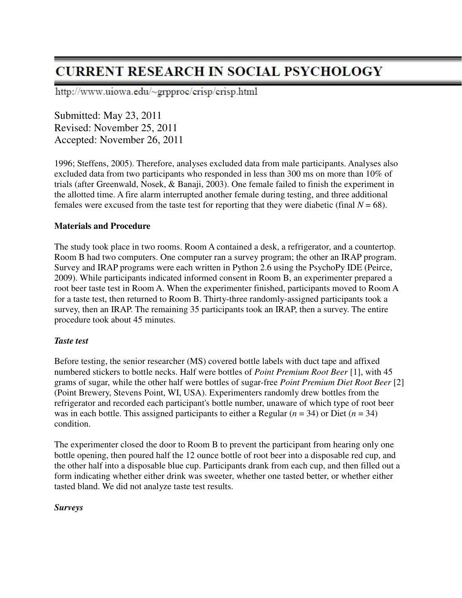http://www.uiowa.edu/~grpproc/crisp/crisp.html

Submitted: May 23, 2011 Revised: November 25, 2011 Accepted: November 26, 2011

1996; Steffens, 2005). Therefore, analyses excluded data from male participants. Analyses also excluded data from two participants who responded in less than 300 ms on more than 10% of trials (after Greenwald, Nosek, & Banaji, 2003). One female failed to finish the experiment in the allotted time. A fire alarm interrupted another female during testing, and three additional females were excused from the taste test for reporting that they were diabetic (final  $N = 68$ ).

#### **Materials and Procedure**

The study took place in two rooms. Room A contained a desk, a refrigerator, and a countertop. Room B had two computers. One computer ran a survey program; the other an IRAP program. Survey and IRAP programs were each written in Python 2.6 using the PsychoPy IDE (Peirce, 2009). While participants indicated informed consent in Room B, an experimenter prepared a root beer taste test in Room A. When the experimenter finished, participants moved to Room A for a taste test, then returned to Room B. Thirty-three randomly-assigned participants took a survey, then an IRAP. The remaining 35 participants took an IRAP, then a survey. The entire procedure took about 45 minutes.

#### *Taste test*

Before testing, the senior researcher (MS) covered bottle labels with duct tape and affixed numbered stickers to bottle necks. Half were bottles of *Point Premium Root Beer* [1], with 45 grams of sugar, while the other half were bottles of sugar-free *Point Premium Diet Root Beer* [2] (Point Brewery, Stevens Point, WI, USA). Experimenters randomly drew bottles from the refrigerator and recorded each participant's bottle number, unaware of which type of root beer was in each bottle. This assigned participants to either a Regular (*n* = 34) or Diet (*n* = 34) condition.

The experimenter closed the door to Room B to prevent the participant from hearing only one bottle opening, then poured half the 12 ounce bottle of root beer into a disposable red cup, and the other half into a disposable blue cup. Participants drank from each cup, and then filled out a form indicating whether either drink was sweeter, whether one tasted better, or whether either tasted bland. We did not analyze taste test results.

#### *Surveys*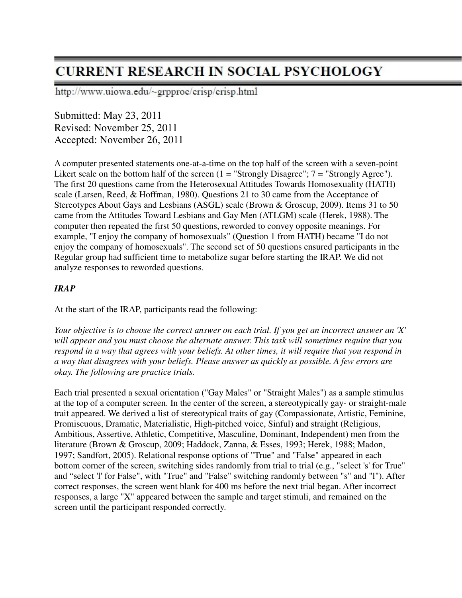http://www.uiowa.edu/~grpproc/crisp/crisp.html

Submitted: May 23, 2011 Revised: November 25, 2011 Accepted: November 26, 2011

A computer presented statements one-at-a-time on the top half of the screen with a seven-point Likert scale on the bottom half of the screen  $(1 = "Strongly Disagree"; 7 = "Strongly Agree").$ The first 20 questions came from the Heterosexual Attitudes Towards Homosexuality (HATH) scale (Larsen, Reed, & Hoffman, 1980). Questions 21 to 30 came from the Acceptance of Stereotypes About Gays and Lesbians (ASGL) scale (Brown & Groscup, 2009). Items 31 to 50 came from the Attitudes Toward Lesbians and Gay Men (ATLGM) scale (Herek, 1988). The computer then repeated the first 50 questions, reworded to convey opposite meanings. For example, "I enjoy the company of homosexuals" (Question 1 from HATH) became "I do not enjoy the company of homosexuals". The second set of 50 questions ensured participants in the Regular group had sufficient time to metabolize sugar before starting the IRAP. We did not analyze responses to reworded questions.

### *IRAP*

At the start of the IRAP, participants read the following:

*Your objective is to choose the correct answer on each trial. If you get an incorrect answer an 'X' will appear and you must choose the alternate answer. This task will sometimes require that you respond in a way that agrees with your beliefs. At other times, it will require that you respond in a way that disagrees with your beliefs. Please answer as quickly as possible. A few errors are okay. The following are practice trials.* 

Each trial presented a sexual orientation ("Gay Males" or "Straight Males") as a sample stimulus at the top of a computer screen. In the center of the screen, a stereotypically gay- or straight-male trait appeared. We derived a list of stereotypical traits of gay (Compassionate, Artistic, Feminine, Promiscuous, Dramatic, Materialistic, High-pitched voice, Sinful) and straight (Religious, Ambitious, Assertive, Athletic, Competitive, Masculine, Dominant, Independent) men from the literature (Brown & Groscup, 2009; Haddock, Zanna, & Esses, 1993; Herek, 1988; Madon, 1997; Sandfort, 2005). Relational response options of "True" and "False" appeared in each bottom corner of the screen, switching sides randomly from trial to trial (e.g., "select 's' for True" and "select 'l' for False", with "True" and "False" switching randomly between "s" and "l"). After correct responses, the screen went blank for 400 ms before the next trial began. After incorrect responses, a large "X" appeared between the sample and target stimuli, and remained on the screen until the participant responded correctly.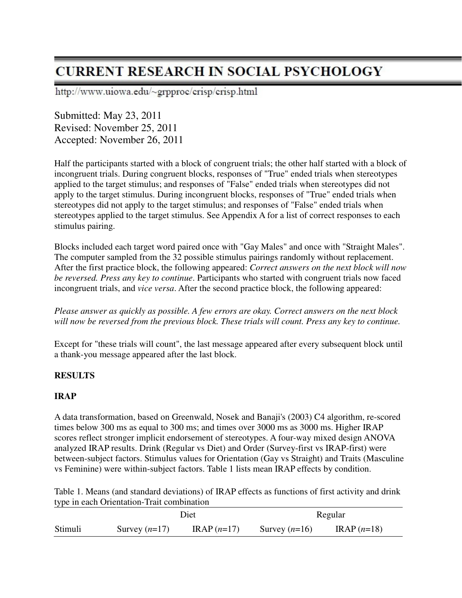http://www.uiowa.edu/~grpproc/crisp/crisp.html

Submitted: May 23, 2011 Revised: November 25, 2011 Accepted: November 26, 2011

Half the participants started with a block of congruent trials; the other half started with a block of incongruent trials. During congruent blocks, responses of "True" ended trials when stereotypes applied to the target stimulus; and responses of "False" ended trials when stereotypes did not apply to the target stimulus. During incongruent blocks, responses of "True" ended trials when stereotypes did not apply to the target stimulus; and responses of "False" ended trials when stereotypes applied to the target stimulus. See Appendix A for a list of correct responses to each stimulus pairing.

Blocks included each target word paired once with "Gay Males" and once with "Straight Males". The computer sampled from the 32 possible stimulus pairings randomly without replacement. After the first practice block, the following appeared: *Correct answers on the next block will now be reversed. Press any key to continue*. Participants who started with congruent trials now faced incongruent trials, and *vice versa*. After the second practice block, the following appeared:

### *Please answer as quickly as possible. A few errors are okay. Correct answers on the next block will now be reversed from the previous block. These trials will count. Press any key to continue.*

Except for "these trials will count", the last message appeared after every subsequent block until a thank-you message appeared after the last block.

### **RESULTS**

### **IRAP**

A data transformation, based on Greenwald, Nosek and Banaji's (2003) C4 algorithm, re-scored times below 300 ms as equal to 300 ms; and times over 3000 ms as 3000 ms. Higher IRAP scores reflect stronger implicit endorsement of stereotypes. A four-way mixed design ANOVA analyzed IRAP results. Drink (Regular vs Diet) and Order (Survey-first vs IRAP-first) were between-subject factors. Stimulus values for Orientation (Gay vs Straight) and Traits (Masculine vs Feminine) were within-subject factors. Table 1 lists mean IRAP effects by condition.

Table 1. Means (and standard deviations) of IRAP effects as functions of first activity and drink type in each Orientation-Trait combination

| ___     | Diet            |              | Regular         |              |  |
|---------|-----------------|--------------|-----------------|--------------|--|
| Stimuli | Survey $(n=17)$ | $IRAP(n=17)$ | Survey $(n=16)$ | $IRAP(n=18)$ |  |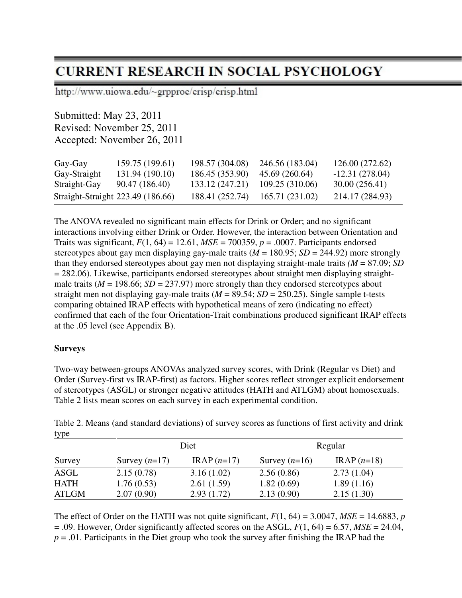http://www.uiowa.edu/~grpproc/crisp/crisp.html

Submitted: May 23, 2011 Revised: November 25, 2011 Accepted: November 26, 2011

| Gay-Gay                           | 159.75 (199.61) | 198.57 (304.08) | 246.56 (183.04) | 126.00 (272.62)  |
|-----------------------------------|-----------------|-----------------|-----------------|------------------|
| Gay-Straight                      | 131.94 (190.10) | 186.45 (353.90) | 45.69 (260.64)  | $-12.31(278.04)$ |
| Straight-Gay                      | 90.47 (186.40)  | 133.12 (247.21) | 109.25 (310.06) | 30.00 (256.41)   |
| Straight-Straight 223.49 (186.66) |                 | 188.41 (252.74) | 165.71 (231.02) | 214.17 (284.93)  |

The ANOVA revealed no significant main effects for Drink or Order; and no significant interactions involving either Drink or Order. However, the interaction between Orientation and Traits was significant,  $F(1, 64) = 12.61$ ,  $MSE = 700359$ ,  $p = .0007$ . Participants endorsed stereotypes about gay men displaying gay-male traits (*M* = 180.95; *SD* = 244.92) more strongly than they endorsed stereotypes about gay men not displaying straight-male traits  $(M = 87.09; SD$ = 282.06). Likewise, participants endorsed stereotypes about straight men displaying straightmale traits ( $M = 198.66$ ;  $SD = 237.97$ ) more strongly than they endorsed stereotypes about straight men not displaying gay-male traits  $(M = 89.54; SD = 250.25)$ . Single sample t-tests comparing obtained IRAP effects with hypothetical means of zero (indicating no effect) confirmed that each of the four Orientation-Trait combinations produced significant IRAP effects at the .05 level (see Appendix B).

#### **Surveys**

Two-way between-groups ANOVAs analyzed survey scores, with Drink (Regular vs Diet) and Order (Survey-first vs IRAP-first) as factors. Higher scores reflect stronger explicit endorsement of stereotypes (ASGL) or stronger negative attitudes (HATH and ATLGM) about homosexuals. Table 2 lists mean scores on each survey in each experimental condition.

| $\mathbf{y}$ pc |                 |              |                 |              |  |  |
|-----------------|-----------------|--------------|-----------------|--------------|--|--|
|                 |                 | Diet         |                 | Regular      |  |  |
| Survey          | Survey $(n=17)$ | $IRAP(n=17)$ | Survey $(n=16)$ | $IRAP(n=18)$ |  |  |
| ASGL            | 2.15(0.78)      | 3.16(1.02)   | 2.56(0.86)      | 2.73(1.04)   |  |  |
| <b>HATH</b>     | 1.76(0.53)      | 2.61(1.59)   | 1.82(0.69)      | 1.89(1.16)   |  |  |
| <b>ATLGM</b>    | 2.07(0.90)      | 2.93(1.72)   | 2.13(0.90)      | 2.15(1.30)   |  |  |

Table 2. Means (and standard deviations) of survey scores as functions of first activity and drink type

The effect of Order on the HATH was not quite significant,  $F(1, 64) = 3.0047$ ,  $MSE = 14.6883$ , *p*  $= .09$ . However, Order significantly affected scores on the ASGL,  $F(1, 64) = 6.57$ ,  $MSE = 24.04$ , *p* = .01. Participants in the Diet group who took the survey after finishing the IRAP had the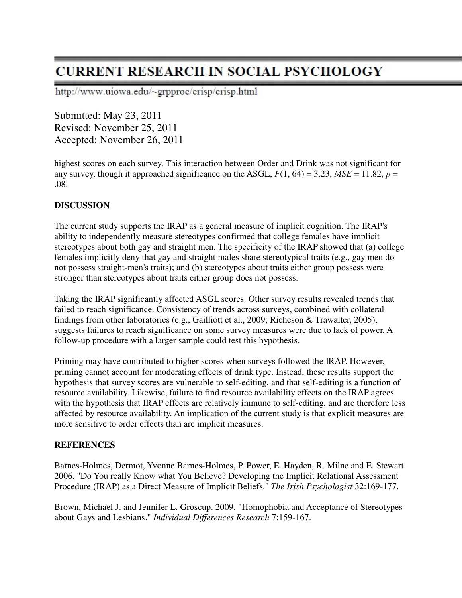http://www.uiowa.edu/~grpproc/crisp/crisp.html

Submitted: May 23, 2011 Revised: November 25, 2011 Accepted: November 26, 2011

highest scores on each survey. This interaction between Order and Drink was not significant for any survey, though it approached significance on the ASGL,  $F(1, 64) = 3.23$ ,  $MSE = 11.82$ ,  $p =$ .08.

#### **DISCUSSION**

The current study supports the IRAP as a general measure of implicit cognition. The IRAP's ability to independently measure stereotypes confirmed that college females have implicit stereotypes about both gay and straight men. The specificity of the IRAP showed that (a) college females implicitly deny that gay and straight males share stereotypical traits (e.g., gay men do not possess straight-men's traits); and (b) stereotypes about traits either group possess were stronger than stereotypes about traits either group does not possess.

Taking the IRAP significantly affected ASGL scores. Other survey results revealed trends that failed to reach significance. Consistency of trends across surveys, combined with collateral findings from other laboratories (e.g., Gailliott et al., 2009; Richeson & Trawalter, 2005), suggests failures to reach significance on some survey measures were due to lack of power. A follow-up procedure with a larger sample could test this hypothesis.

Priming may have contributed to higher scores when surveys followed the IRAP. However, priming cannot account for moderating effects of drink type. Instead, these results support the hypothesis that survey scores are vulnerable to self-editing, and that self-editing is a function of resource availability. Likewise, failure to find resource availability effects on the IRAP agrees with the hypothesis that IRAP effects are relatively immune to self-editing, and are therefore less affected by resource availability. An implication of the current study is that explicit measures are more sensitive to order effects than are implicit measures.

#### **REFERENCES**

Barnes-Holmes, Dermot, Yvonne Barnes-Holmes, P. Power, E. Hayden, R. Milne and E. Stewart. 2006. "Do You really Know what You Believe? Developing the Implicit Relational Assessment Procedure (IRAP) as a Direct Measure of Implicit Beliefs." *The Irish Psychologist* 32:169-177.

Brown, Michael J. and Jennifer L. Groscup. 2009. "Homophobia and Acceptance of Stereotypes about Gays and Lesbians." *Individual Differences Research* 7:159-167.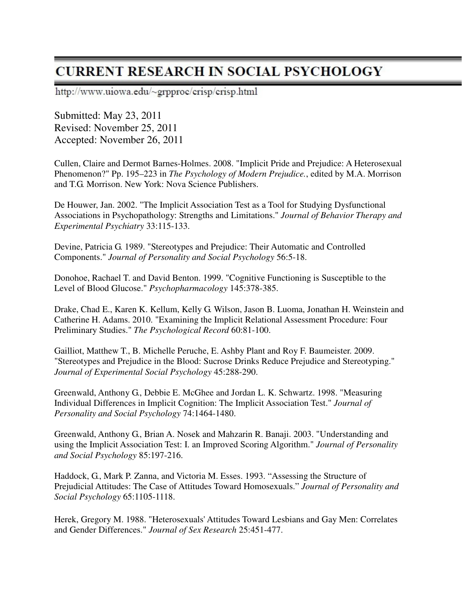http://www.uiowa.edu/~grpproc/crisp/crisp.html

Submitted: May 23, 2011 Revised: November 25, 2011 Accepted: November 26, 2011

Cullen, Claire and Dermot Barnes-Holmes. 2008. "Implicit Pride and Prejudice: A Heterosexual Phenomenon?" Pp. 195–223 in *The Psychology of Modern Prejudice.*, edited by M.A. Morrison and T.G. Morrison. New York: Nova Science Publishers.

De Houwer, Jan. 2002. "The Implicit Association Test as a Tool for Studying Dysfunctional Associations in Psychopathology: Strengths and Limitations." *Journal of Behavior Therapy and Experimental Psychiatry* 33:115-133.

Devine, Patricia G. 1989. "Stereotypes and Prejudice: Their Automatic and Controlled Components." *Journal of Personality and Social Psychology* 56:5-18.

Donohoe, Rachael T. and David Benton. 1999. "Cognitive Functioning is Susceptible to the Level of Blood Glucose." *Psychopharmacology* 145:378-385.

Drake, Chad E., Karen K. Kellum, Kelly G. Wilson, Jason B. Luoma, Jonathan H. Weinstein and Catherine H. Adams. 2010. "Examining the Implicit Relational Assessment Procedure: Four Preliminary Studies." *The Psychological Record* 60:81-100.

Gailliot, Matthew T., B. Michelle Peruche, E. Ashby Plant and Roy F. Baumeister. 2009. "Stereotypes and Prejudice in the Blood: Sucrose Drinks Reduce Prejudice and Stereotyping." *Journal of Experimental Social Psychology* 45:288-290.

Greenwald, Anthony G., Debbie E. McGhee and Jordan L. K. Schwartz. 1998. "Measuring Individual Differences in Implicit Cognition: The Implicit Association Test." *Journal of Personality and Social Psychology* 74:1464-1480.

Greenwald, Anthony G., Brian A. Nosek and Mahzarin R. Banaji. 2003. "Understanding and using the Implicit Association Test: I. an Improved Scoring Algorithm." *Journal of Personality and Social Psychology* 85:197-216.

Haddock, G., Mark P. Zanna, and Victoria M. Esses. 1993. "Assessing the Structure of Prejudicial Attitudes: The Case of Attitudes Toward Homosexuals." *Journal of Personality and Social Psychology* 65:1105-1118.

Herek, Gregory M. 1988. "Heterosexuals' Attitudes Toward Lesbians and Gay Men: Correlates and Gender Differences." *Journal of Sex Research* 25:451-477.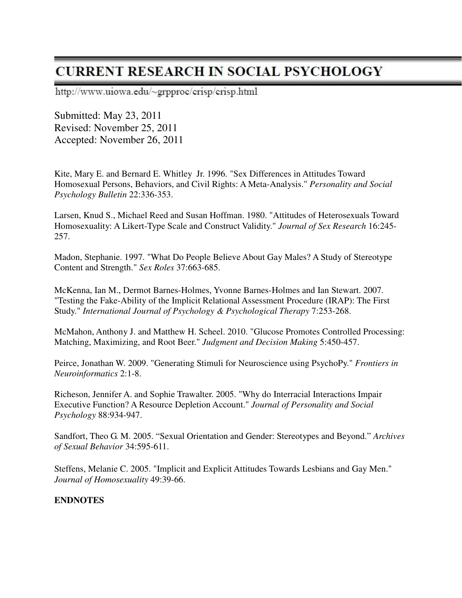http://www.uiowa.edu/~grpproc/crisp/crisp.html

Submitted: May 23, 2011 Revised: November 25, 2011 Accepted: November 26, 2011

Kite, Mary E. and Bernard E. Whitley Jr. 1996. "Sex Differences in Attitudes Toward Homosexual Persons, Behaviors, and Civil Rights: A Meta-Analysis." *Personality and Social Psychology Bulletin* 22:336-353.

Larsen, Knud S., Michael Reed and Susan Hoffman. 1980. "Attitudes of Heterosexuals Toward Homosexuality: A Likert-Type Scale and Construct Validity." *Journal of Sex Research* 16:245- 257.

Madon, Stephanie. 1997. "What Do People Believe About Gay Males? A Study of Stereotype Content and Strength." *Sex Roles* 37:663-685.

McKenna, Ian M., Dermot Barnes-Holmes, Yvonne Barnes-Holmes and Ian Stewart. 2007. "Testing the Fake-Ability of the Implicit Relational Assessment Procedure (IRAP): The First Study." *International Journal of Psychology & Psychological Therapy* 7:253-268.

McMahon, Anthony J. and Matthew H. Scheel. 2010. "Glucose Promotes Controlled Processing: Matching, Maximizing, and Root Beer." *Judgment and Decision Making* 5:450-457.

Peirce, Jonathan W. 2009. "Generating Stimuli for Neuroscience using PsychoPy." *Frontiers in Neuroinformatics* 2:1-8.

Richeson, Jennifer A. and Sophie Trawalter. 2005. "Why do Interracial Interactions Impair Executive Function? A Resource Depletion Account." *Journal of Personality and Social Psychology* 88:934-947.

Sandfort, Theo G. M. 2005. "Sexual Orientation and Gender: Stereotypes and Beyond." *Archives of Sexual Behavior* 34:595-611.

Steffens, Melanie C. 2005. "Implicit and Explicit Attitudes Towards Lesbians and Gay Men." *Journal of Homosexuality* 49:39-66.

#### **ENDNOTES**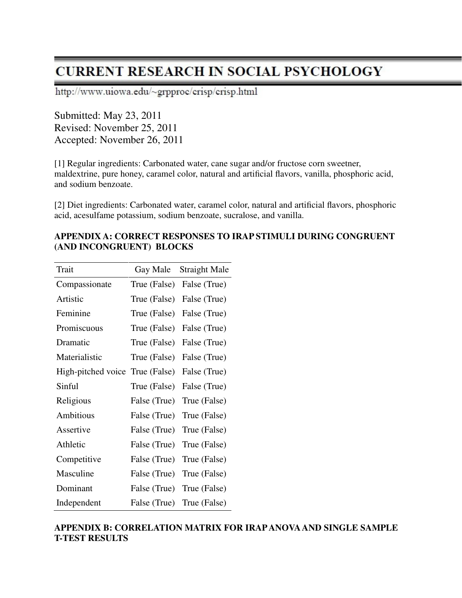http://www.uiowa.edu/~grpproc/crisp/crisp.html

Submitted: May 23, 2011 Revised: November 25, 2011 Accepted: November 26, 2011

[1] Regular ingredients: Carbonated water, cane sugar and/or fructose corn sweetner, maldextrine, pure honey, caramel color, natural and artificial flavors, vanilla, phosphoric acid, and sodium benzoate.

[2] Diet ingredients: Carbonated water, caramel color, natural and artificial flavors, phosphoric acid, acesulfame potassium, sodium benzoate, sucralose, and vanilla.

| Trait                           | Gay Male     | <b>Straight Male</b> |
|---------------------------------|--------------|----------------------|
| Compassionate                   | True (False) | False (True)         |
| Artistic                        | True (False) | False (True)         |
| Feminine                        | True (False) | False (True)         |
| Promiscuous                     | True (False) | False (True)         |
| Dramatic                        | True (False) | False (True)         |
| Materialistic                   | True (False) | False (True)         |
| High-pitched voice True (False) |              | False (True)         |
| Sinful                          | True (False) | False (True)         |
| Religious                       | False (True) | True (False)         |
| Ambitious                       | False (True) | True (False)         |
| Assertive                       | False (True) | True (False)         |
| Athletic                        | False (True) | True (False)         |
| Competitive                     | False (True) | True (False)         |
| Masculine                       | False (True) | True (False)         |
| Dominant                        | False (True) | True (False)         |
| Independent                     | False (True) | True (False)         |

### **APPENDIX A: CORRECT RESPONSES TO IRAP STIMULI DURING CONGRUENT (AND INCONGRUENT) BLOCKS**

### **APPENDIX B: CORRELATION MATRIX FOR IRAP ANOVA AND SINGLE SAMPLE T-TEST RESULTS**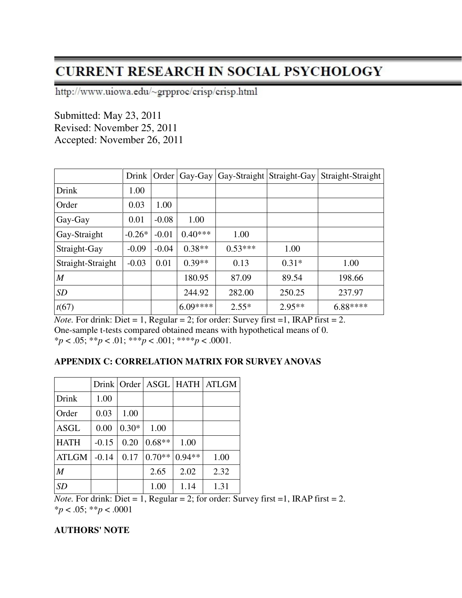http://www.uiowa.edu/~grpproc/crisp/crisp.html

Submitted: May 23, 2011 Revised: November 25, 2011 Accepted: November 26, 2011

|                   | Drink    | Order   |           | Gay-Gay $ $ Gay-Straight $ $ | Straight-Gay | Straight-Straight |
|-------------------|----------|---------|-----------|------------------------------|--------------|-------------------|
| Drink             | 1.00     |         |           |                              |              |                   |
| Order             | 0.03     | 1.00    |           |                              |              |                   |
| Gay-Gay           | 0.01     | $-0.08$ | 1.00      |                              |              |                   |
| Gay-Straight      | $-0.26*$ | $-0.01$ | $0.40***$ | 1.00                         |              |                   |
| Straight-Gay      | $-0.09$  | $-0.04$ | $0.38**$  | $0.53***$                    | 1.00         |                   |
| Straight-Straight | $-0.03$  | 0.01    | $0.39**$  | 0.13                         | $0.31*$      | 1.00              |
| $\boldsymbol{M}$  |          |         | 180.95    | 87.09                        | 89.54        | 198.66            |
| SD                |          |         | 244.92    | 282.00                       | 250.25       | 237.97            |
| t(67)             |          |         | $6.09***$ | $2.55*$                      | $2.95**$     | 6.88****          |

*Note.* For drink: Diet = 1, Regular = 2; for order: Survey first = 1, IRAP first = 2. One-sample t-tests compared obtained means with hypothetical means of 0. \**p* < .05; \*\**p* < .01; \*\*\**p* < .001; \*\*\*\**p* < .0001.

### **APPENDIX C: CORRELATION MATRIX FOR SURVEY ANOVAS**

|                  |         | Drink Order |          |          | <b>ASGL   HATH   ATLGM</b> |
|------------------|---------|-------------|----------|----------|----------------------------|
| Drink            | 1.00    |             |          |          |                            |
| Order            | 0.03    | 1.00        |          |          |                            |
| <b>ASGL</b>      | 0.00    | $0.30*$     | 1.00     |          |                            |
| <b>HATH</b>      | $-0.15$ | 0.20        | $0.68**$ | 1.00     |                            |
| <b>ATLGM</b>     | $-0.14$ | 0.17        | $0.70**$ | $0.94**$ | 1.00                       |
| $\boldsymbol{M}$ |         |             | 2.65     | 2.02     | 2.32                       |
| <b>SD</b>        |         |             | 1.00     | 1.14     | 1.31                       |

*Note.* For drink: Diet = 1, Regular = 2; for order: Survey first = 1, IRAP first = 2. \**p* < .05; \*\**p* < .0001

#### **AUTHORS' NOTE**